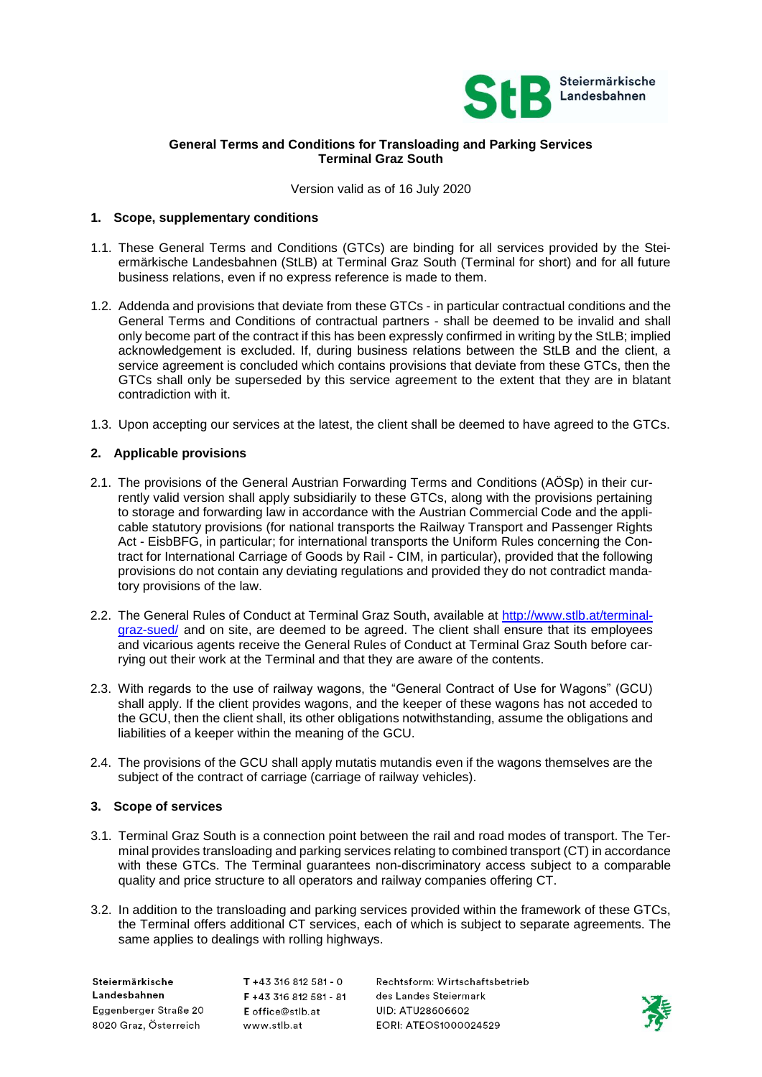

# **General Terms and Conditions for Transloading and Parking Services Terminal Graz South**

Version valid as of 16 July 2020

## **1. Scope, supplementary conditions**

- 1.1. These General Terms and Conditions (GTCs) are binding for all services provided by the Steiermärkische Landesbahnen (StLB) at Terminal Graz South (Terminal for short) and for all future business relations, even if no express reference is made to them.
- 1.2. Addenda and provisions that deviate from these GTCs in particular contractual conditions and the General Terms and Conditions of contractual partners - shall be deemed to be invalid and shall only become part of the contract if this has been expressly confirmed in writing by the StLB; implied acknowledgement is excluded. If, during business relations between the StLB and the client, a service agreement is concluded which contains provisions that deviate from these GTCs, then the GTCs shall only be superseded by this service agreement to the extent that they are in blatant contradiction with it.
- 1.3. Upon accepting our services at the latest, the client shall be deemed to have agreed to the GTCs.

## **2. Applicable provisions**

- 2.1. The provisions of the General Austrian Forwarding Terms and Conditions (AÖSp) in their currently valid version shall apply subsidiarily to these GTCs, along with the provisions pertaining to storage and forwarding law in accordance with the Austrian Commercial Code and the applicable statutory provisions (for national transports the Railway Transport and Passenger Rights Act - EisbBFG, in particular; for international transports the Uniform Rules concerning the Contract for International Carriage of Goods by Rail - CIM, in particular), provided that the following provisions do not contain any deviating regulations and provided they do not contradict mandatory provisions of the law.
- 2.2. The General Rules of Conduct at Terminal Graz South, available at [http://www.stlb.at/terminal](http://www.stlb.at/terminal-graz-sued/)[graz-sued/](http://www.stlb.at/terminal-graz-sued/) and on site, are deemed to be agreed. The client shall ensure that its employees and vicarious agents receive the General Rules of Conduct at Terminal Graz South before carrying out their work at the Terminal and that they are aware of the contents.
- 2.3. With regards to the use of railway wagons, the "General Contract of Use for Wagons" (GCU) shall apply. If the client provides wagons, and the keeper of these wagons has not acceded to the GCU, then the client shall, its other obligations notwithstanding, assume the obligations and liabilities of a keeper within the meaning of the GCU.
- 2.4. The provisions of the GCU shall apply mutatis mutandis even if the wagons themselves are the subject of the contract of carriage (carriage of railway vehicles).

### **3. Scope of services**

- 3.1. Terminal Graz South is a connection point between the rail and road modes of transport. The Terminal provides transloading and parking services relating to combined transport (CT) in accordance with these GTCs. The Terminal guarantees non-discriminatory access subject to a comparable quality and price structure to all operators and railway companies offering CT.
- 3.2. In addition to the transloading and parking services provided within the framework of these GTCs, the Terminal offers additional CT services, each of which is subject to separate agreements. The same applies to dealings with rolling highways.

Steiermärkische Landesbahnen Eggenberger Straße 20 8020 Graz, Österreich

 $T + 43316812581 - 0$ F +43 316 812 581 - 81 E office@stlb.at www.stlb.at

Rechtsform: Wirtschaftsbetrieb des Landes Steiermark UID: ATU28606602 EORI: ATEOS1000024529

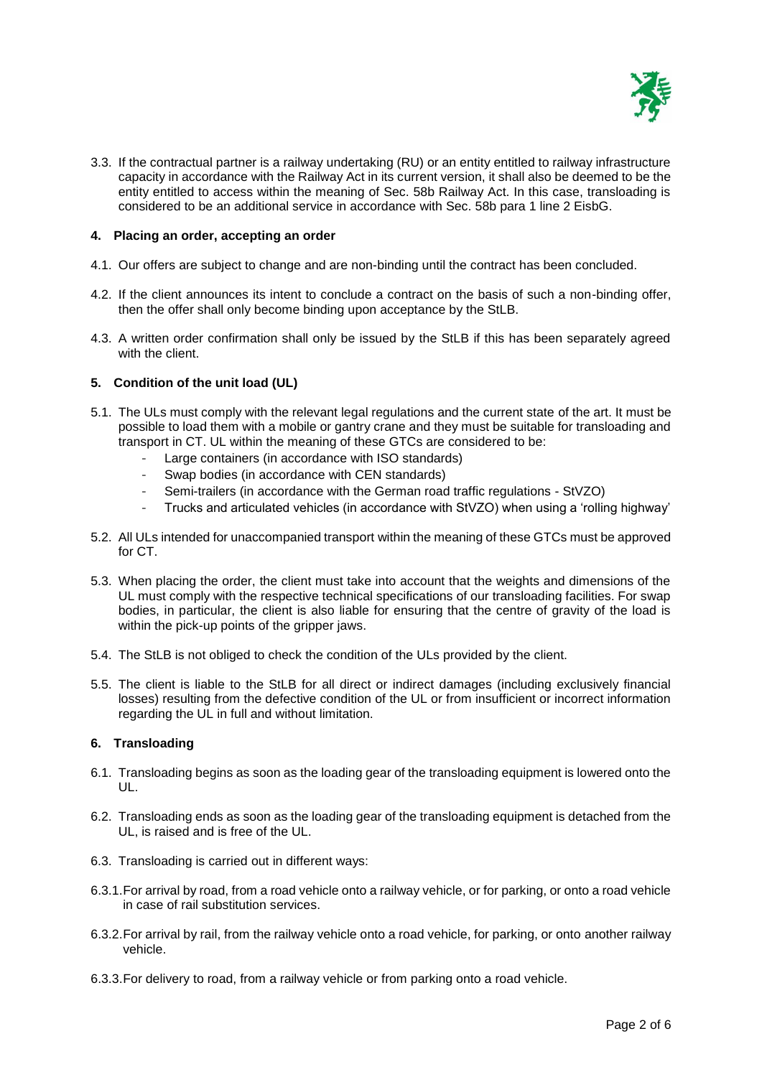

3.3. If the contractual partner is a railway undertaking (RU) or an entity entitled to railway infrastructure capacity in accordance with the Railway Act in its current version, it shall also be deemed to be the entity entitled to access within the meaning of Sec. 58b Railway Act. In this case, transloading is considered to be an additional service in accordance with Sec. 58b para 1 line 2 EisbG.

## **4. Placing an order, accepting an order**

- 4.1. Our offers are subject to change and are non-binding until the contract has been concluded.
- 4.2. If the client announces its intent to conclude a contract on the basis of such a non-binding offer, then the offer shall only become binding upon acceptance by the StLB.
- 4.3. A written order confirmation shall only be issued by the StLB if this has been separately agreed with the client.

## **5. Condition of the unit load (UL)**

- 5.1. The ULs must comply with the relevant legal regulations and the current state of the art. It must be possible to load them with a mobile or gantry crane and they must be suitable for transloading and transport in CT. UL within the meaning of these GTCs are considered to be:
	- Large containers (in accordance with ISO standards)
	- Swap bodies (in accordance with CEN standards)
	- Semi-trailers (in accordance with the German road traffic regulations StVZO)
	- Trucks and articulated vehicles (in accordance with StVZO) when using a 'rolling highway'
- 5.2. All ULs intended for unaccompanied transport within the meaning of these GTCs must be approved for CT.
- 5.3. When placing the order, the client must take into account that the weights and dimensions of the UL must comply with the respective technical specifications of our transloading facilities. For swap bodies, in particular, the client is also liable for ensuring that the centre of gravity of the load is within the pick-up points of the gripper jaws.
- 5.4. The StLB is not obliged to check the condition of the ULs provided by the client.
- 5.5. The client is liable to the StLB for all direct or indirect damages (including exclusively financial losses) resulting from the defective condition of the UL or from insufficient or incorrect information regarding the UL in full and without limitation.

# **6. Transloading**

- 6.1. Transloading begins as soon as the loading gear of the transloading equipment is lowered onto the UL.
- 6.2. Transloading ends as soon as the loading gear of the transloading equipment is detached from the UL, is raised and is free of the UL.
- 6.3. Transloading is carried out in different ways:
- 6.3.1.For arrival by road, from a road vehicle onto a railway vehicle, or for parking, or onto a road vehicle in case of rail substitution services.
- 6.3.2.For arrival by rail, from the railway vehicle onto a road vehicle, for parking, or onto another railway vehicle.
- 6.3.3.For delivery to road, from a railway vehicle or from parking onto a road vehicle.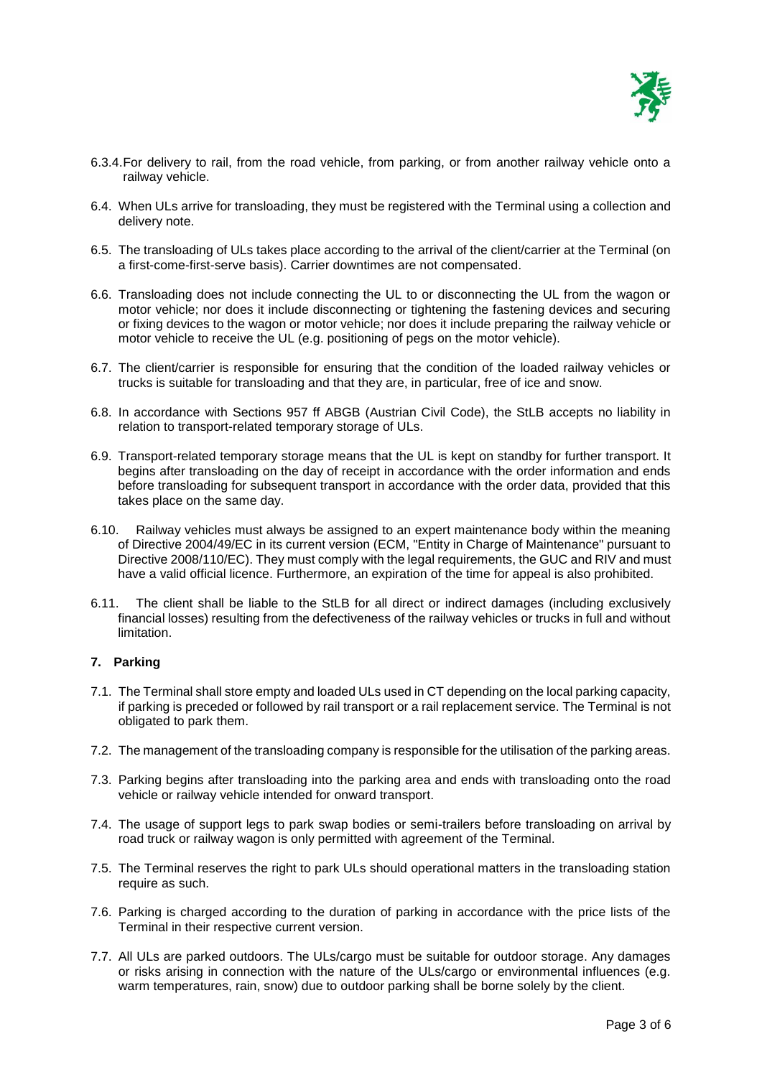

- 6.3.4.For delivery to rail, from the road vehicle, from parking, or from another railway vehicle onto a railway vehicle.
- 6.4. When ULs arrive for transloading, they must be registered with the Terminal using a collection and delivery note.
- 6.5. The transloading of ULs takes place according to the arrival of the client/carrier at the Terminal (on a first-come-first-serve basis). Carrier downtimes are not compensated.
- 6.6. Transloading does not include connecting the UL to or disconnecting the UL from the wagon or motor vehicle; nor does it include disconnecting or tightening the fastening devices and securing or fixing devices to the wagon or motor vehicle; nor does it include preparing the railway vehicle or motor vehicle to receive the UL (e.g. positioning of pegs on the motor vehicle).
- 6.7. The client/carrier is responsible for ensuring that the condition of the loaded railway vehicles or trucks is suitable for transloading and that they are, in particular, free of ice and snow.
- 6.8. In accordance with Sections 957 ff ABGB (Austrian Civil Code), the StLB accepts no liability in relation to transport-related temporary storage of ULs.
- 6.9. Transport-related temporary storage means that the UL is kept on standby for further transport. It begins after transloading on the day of receipt in accordance with the order information and ends before transloading for subsequent transport in accordance with the order data, provided that this takes place on the same day.
- 6.10. Railway vehicles must always be assigned to an expert maintenance body within the meaning of Directive 2004/49/EC in its current version (ECM, "Entity in Charge of Maintenance" pursuant to Directive 2008/110/EC). They must comply with the legal requirements, the GUC and RIV and must have a valid official licence. Furthermore, an expiration of the time for appeal is also prohibited.
- 6.11. The client shall be liable to the StLB for all direct or indirect damages (including exclusively financial losses) resulting from the defectiveness of the railway vehicles or trucks in full and without limitation.

# **7. Parking**

- 7.1. The Terminal shall store empty and loaded ULs used in CT depending on the local parking capacity, if parking is preceded or followed by rail transport or a rail replacement service. The Terminal is not obligated to park them.
- 7.2. The management of the transloading company is responsible for the utilisation of the parking areas.
- 7.3. Parking begins after transloading into the parking area and ends with transloading onto the road vehicle or railway vehicle intended for onward transport.
- 7.4. The usage of support legs to park swap bodies or semi-trailers before transloading on arrival by road truck or railway wagon is only permitted with agreement of the Terminal.
- 7.5. The Terminal reserves the right to park ULs should operational matters in the transloading station require as such.
- 7.6. Parking is charged according to the duration of parking in accordance with the price lists of the Terminal in their respective current version.
- 7.7. All ULs are parked outdoors. The ULs/cargo must be suitable for outdoor storage. Any damages or risks arising in connection with the nature of the ULs/cargo or environmental influences (e.g. warm temperatures, rain, snow) due to outdoor parking shall be borne solely by the client.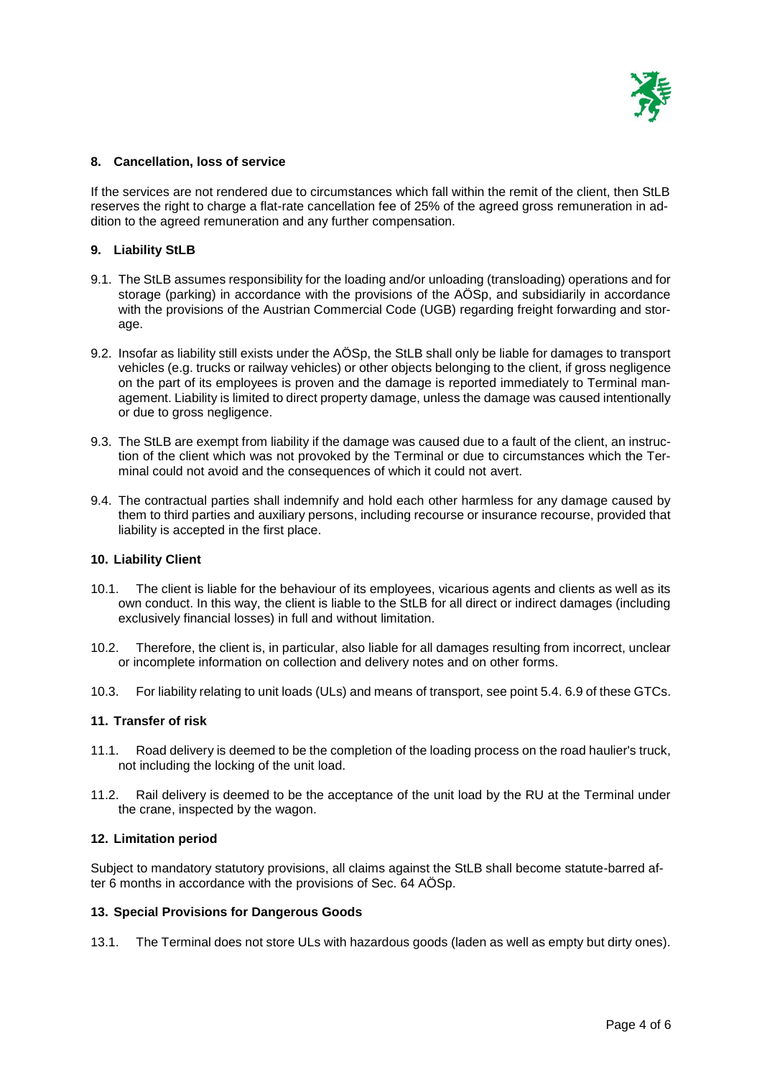

## **8. Cancellation, loss of service**

If the services are not rendered due to circumstances which fall within the remit of the client, then StLB reserves the right to charge a flat-rate cancellation fee of 25% of the agreed gross remuneration in addition to the agreed remuneration and any further compensation.

## **9. Liability StLB**

- 9.1. The StLB assumes responsibility for the loading and/or unloading (transloading) operations and for storage (parking) in accordance with the provisions of the AÖSp, and subsidiarily in accordance with the provisions of the Austrian Commercial Code (UGB) regarding freight forwarding and storage.
- 9.2. Insofar as liability still exists under the AÖSp, the StLB shall only be liable for damages to transport vehicles (e.g. trucks or railway vehicles) or other objects belonging to the client, if gross negligence on the part of its employees is proven and the damage is reported immediately to Terminal management. Liability is limited to direct property damage, unless the damage was caused intentionally or due to gross negligence.
- 9.3. The StLB are exempt from liability if the damage was caused due to a fault of the client, an instruction of the client which was not provoked by the Terminal or due to circumstances which the Terminal could not avoid and the consequences of which it could not avert.
- 9.4. The contractual parties shall indemnify and hold each other harmless for any damage caused by them to third parties and auxiliary persons, including recourse or insurance recourse, provided that liability is accepted in the first place.

### **10. Liability Client**

- 10.1. The client is liable for the behaviour of its employees, vicarious agents and clients as well as its own conduct. In this way, the client is liable to the StLB for all direct or indirect damages (including exclusively financial losses) in full and without limitation.
- 10.2. Therefore, the client is, in particular, also liable for all damages resulting from incorrect, unclear or incomplete information on collection and delivery notes and on other forms.
- 10.3. For liability relating to unit loads (ULs) and means of transport, see point 5.4. 6.9 of these GTCs.

### **11. Transfer of risk**

- 11.1. Road delivery is deemed to be the completion of the loading process on the road haulier's truck, not including the locking of the unit load.
- 11.2. Rail delivery is deemed to be the acceptance of the unit load by the RU at the Terminal under the crane, inspected by the wagon.

### **12. Limitation period**

Subject to mandatory statutory provisions, all claims against the StLB shall become statute-barred after 6 months in accordance with the provisions of Sec. 64 AÖSp.

### **13. Special Provisions for Dangerous Goods**

13.1. The Terminal does not store ULs with hazardous goods (laden as well as empty but dirty ones).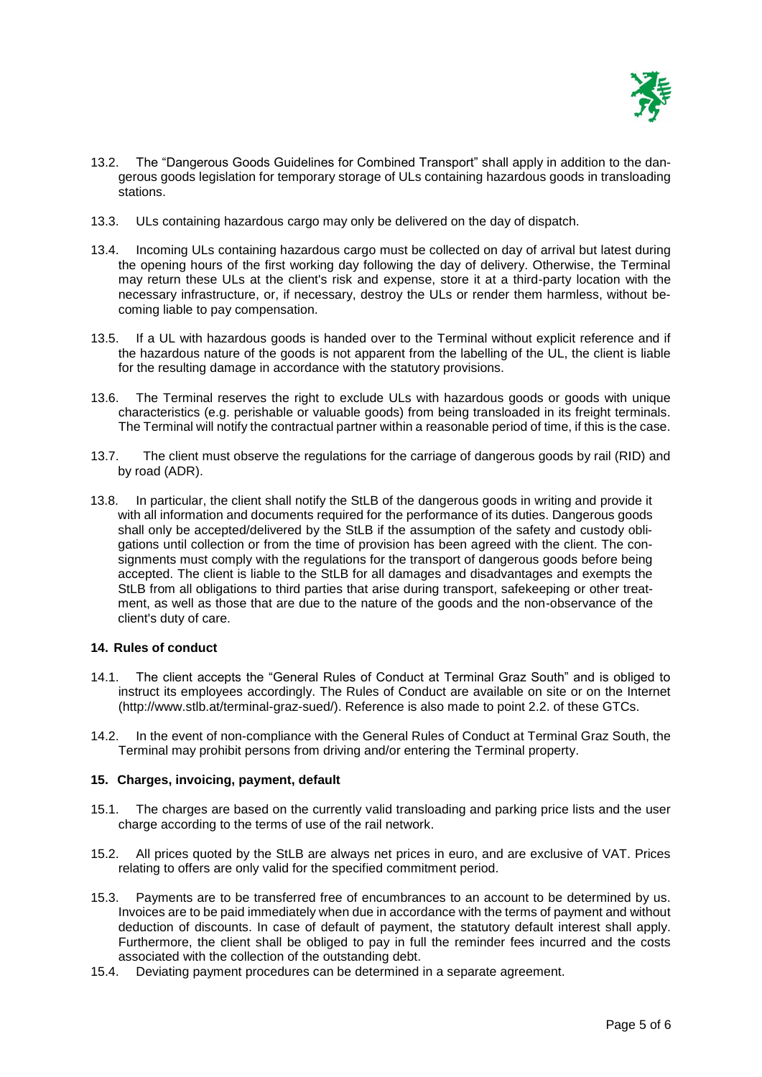

- 13.2. The "Dangerous Goods Guidelines for Combined Transport" shall apply in addition to the dangerous goods legislation for temporary storage of ULs containing hazardous goods in transloading stations.
- 13.3. ULs containing hazardous cargo may only be delivered on the day of dispatch.
- 13.4. Incoming ULs containing hazardous cargo must be collected on day of arrival but latest during the opening hours of the first working day following the day of delivery. Otherwise, the Terminal may return these ULs at the client's risk and expense, store it at a third-party location with the necessary infrastructure, or, if necessary, destroy the ULs or render them harmless, without becoming liable to pay compensation.
- 13.5. If a UL with hazardous goods is handed over to the Terminal without explicit reference and if the hazardous nature of the goods is not apparent from the labelling of the UL, the client is liable for the resulting damage in accordance with the statutory provisions.
- 13.6. The Terminal reserves the right to exclude ULs with hazardous goods or goods with unique characteristics (e.g. perishable or valuable goods) from being transloaded in its freight terminals. The Terminal will notify the contractual partner within a reasonable period of time, if this is the case.
- 13.7. The client must observe the regulations for the carriage of dangerous goods by rail (RID) and by road (ADR).
- 13.8. In particular, the client shall notify the StLB of the dangerous goods in writing and provide it with all information and documents required for the performance of its duties. Dangerous goods shall only be accepted/delivered by the StLB if the assumption of the safety and custody obligations until collection or from the time of provision has been agreed with the client. The consignments must comply with the regulations for the transport of dangerous goods before being accepted. The client is liable to the StLB for all damages and disadvantages and exempts the StLB from all obligations to third parties that arise during transport, safekeeping or other treatment, as well as those that are due to the nature of the goods and the non-observance of the client's duty of care.

### **14. Rules of conduct**

- 14.1. The client accepts the "General Rules of Conduct at Terminal Graz South" and is obliged to instruct its employees accordingly. The Rules of Conduct are available on site or on the Internet [\(http://www.stlb.at/terminal-graz-sued/\)](http://www.stlb.at/terminal-graz-sued/). Reference is also made to point 2.2. of these GTCs.
- 14.2. In the event of non-compliance with the General Rules of Conduct at Terminal Graz South, the Terminal may prohibit persons from driving and/or entering the Terminal property.

### **15. Charges, invoicing, payment, default**

- 15.1. The charges are based on the currently valid transloading and parking price lists and the user charge according to the terms of use of the rail network.
- 15.2. All prices quoted by the StLB are always net prices in euro, and are exclusive of VAT. Prices relating to offers are only valid for the specified commitment period.
- 15.3. Payments are to be transferred free of encumbrances to an account to be determined by us. Invoices are to be paid immediately when due in accordance with the terms of payment and without deduction of discounts. In case of default of payment, the statutory default interest shall apply. Furthermore, the client shall be obliged to pay in full the reminder fees incurred and the costs associated with the collection of the outstanding debt.
- 15.4. Deviating payment procedures can be determined in a separate agreement.